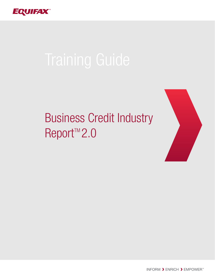

# Business Credit Industry Report<sup>™</sup>2.0



INFORM > ENRICH > EMPOWER<sup>\*\*</sup>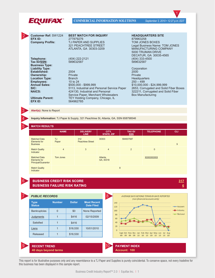| EQUIFAX                                                            | <b>COMMERCIAL INFORMATION SOLUTIONS</b>                                                                                      | September 3, 2010 • 12:27 p.m. EDT                                                                                                                                        |
|--------------------------------------------------------------------|------------------------------------------------------------------------------------------------------------------------------|---------------------------------------------------------------------------------------------------------------------------------------------------------------------------|
|                                                                    |                                                                                                                              |                                                                                                                                                                           |
| <b>Customer Ref: SW1224</b><br>EFX ID:<br><b>Company Profile:</b>  | <b>BEST MATCH FOR INQUIRY</b><br>277879276<br>TJ PAPER AND SUPPLIES<br><b>321 PEACHTREE STREET</b><br>ATLANTA, GA 30303-3209 | <b>HEADQUARTERS SITE</b><br>879963258<br>TOM JONES BOXES<br>Legal Business Name: TOM JONES<br><b>MANUFACTURING COMPANY</b><br>5000 TRUMAN DRIVE<br>DECATUR, GA 30035-4565 |
| Telephone:<br>Tax ID/SSN:<br><b>Business Type:</b>                 | (404) 222-2121<br>589632587                                                                                                  | (404) 333-4500<br>589632587                                                                                                                                               |
| <b>Liability Type:</b><br>Established:<br>Ownership:               | 2004<br>Private                                                                                                              | Corporation<br>2000<br>Private                                                                                                                                            |
| <b>Location Type:</b><br><b>Employees:</b><br><b>Annual Sales:</b> | <b>Branch</b><br>10 to $24$<br>$$500,000 - $999,999$                                                                         | Headquarters<br>$250 - 499$<br>\$10,000,000 - \$24,999,999                                                                                                                |
| SIC:<br><b>NAICS:</b>                                              | 5113, Industrial and Personal Service Paper<br>424130, Industrial and Personal<br>Service Paper, Merchant Wholesalers        | 2653, Corrugated and Solid Fiber Boxes<br>322211, Corrugated and Solid Fiber<br><b>Box Manufacturing</b>                                                                  |
| <b>Ultimate Parent:</b><br>EFX ID:                                 | TEY Holding Company, Chicago, IL<br>564962785                                                                                |                                                                                                                                                                           |

**Alert(s):** None to Report

**Conservat** 

**Inquiry Information:** TJ Paper & Supply, 321 Peachtree St, Atlanta, GA, SSN 658798546

#### **MATCH RESULTS**

4

3

5

6

| <b>MAIVILINEVULTU</b>                                      |                |                                |                            |                              |                  |            |  |  |  |  |  |  |
|------------------------------------------------------------|----------------|--------------------------------|----------------------------|------------------------------|------------------|------------|--|--|--|--|--|--|
|                                                            | <b>NAME</b>    | <b>DELIVERY</b><br><b>LINE</b> | CITY,<br><b>STATE, ZIP</b> | <b>TAX ID/</b><br><b>SSN</b> | <b>TELEPHONE</b> | <b>CLI</b> |  |  |  |  |  |  |
| <b>Matched Data</b><br>Elements for<br><b>Business</b>     | TJ<br>Paper    | 312<br><b>Peachtree Street</b> | 30303                      | 584937587                    |                  | 9          |  |  |  |  |  |  |
| <b>Match Quality</b><br>Indicator                          | $\overline{4}$ | 3                              | $\overline{4}$             | $\overline{2}$               | $\mathbf{0}$     |            |  |  |  |  |  |  |
| <b>Matched Data</b><br>Elements for<br>Principal/Guarantor | Tom Jones      |                                | Atlanta,<br>GA, 30318      |                              | <b>XXXXXXXXX</b> |            |  |  |  |  |  |  |
| <b>Match Quality</b>                                       |                |                                |                            | 8                            |                  |            |  |  |  |  |  |  |

<u>317</u>

 $6$ 

Indicator

#### **BUSINESS CREDIT RISK SCORE BUSINESS FAILURE RISK RATING**



This report is for illustrative purposes only and any resemblance to a TJ Paper and Supplies is purely coincidental. To conserve space, not every tradeline for this business has been displayed in this sample report.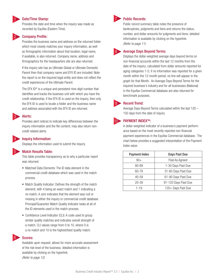#### Date/Time Stamp:

Provides the date and time when the inquiry was made as recorded by Equifax (Eastern Time).

# 2

1

# **Company Profile:**

Provides the business name and address on the returned folder which most closely matches your inquiry information, as well as firmographic information about that location; legal name, if available, is also returned. Company name, address and firmographics for the headquarters site are also returned.

If the inquiry site has an Ultimate Global or Ultimate Domestic Parent then that company name and EFX ID are included. Note the report is on the inquired legal entity and does not reflect the credit experiences of the Ultimate Parent.

The EFX ID<sup>®</sup> is a unique and persistent nine-digit number that identifies and tracks the business unit with which you have the credit relationship; if the EFX ID is used on the inquiry, then only the EFX ID is used to locate a folder and the business name and address associated with the EFX ID are returned.

### Alerts:

Provides alert notices to indicate key differences between the inquiry information and the file content; may also return noncredit related alerts.



5

3

#### Inquiry Information:

Displays the information used to submit the inquiry.

#### Match Results Table:

This table provides transparency as to why a particular report was returned.

- **Matched Data Elements: The ID data element in the** commercial credit database which was used in the match process.
- Match Quality Indicator: Defines the strength of the match element; with 4 being an exact match and 1 indicating a no match. A zero indicates that the element was null or missing in either the inquiry or commercial credit database. Principal/Guarantor Match Quality Indicator looks at all of the ID elements used in the match process.
- Confidence Level Indicator (CLI): A code used to group similar quality matches and indicates overall strength of a match. CLI values range from 0 to 10, where 0 is a no match and 10 is the highest/best quality match.

# Scores:

6

Available upon request; allows for more accurate assessment of the risk level of the business; detailed information is available by clicking on the hyperlink. (Refer to page 12)



8

### Public Records:

Public record summary table notes the presence of bankruptcies, judgments and liens and returns the status, number, and dollar amounts for judgments and liens; detailed information is available by clicking on the hyperlink. (Refer to page 11)

## Average Days Beyond Terms:

Displays the dollar-weighted average days beyond terms on non-financial accounts within the last 12 months from the date of the inquiry; calculated from dollar amounts reported for aging categories 1-5; if no information was reported for a given month within the 12-month period, no line will appear in the graph for that Month. An Average Days Beyond Terms for the inquired business's industry and for all businesses (National) in the Equifax Commercial database are also returned for benchmark purposes.



10

#### Recent Trend:

Average Days Beyond Terms calculated within the last 120 – 150 days from the date of inquiry.

#### PAYMENT INDEX™:

A dollar-weighted indicator of a business's payment performance based on the most recently reported non-financial payment experiences in the Equifax Commercial database. The chart below provides a suggested interpretation of the Payment Index value:

| <b>Payment Index</b> | Days Past Due        |
|----------------------|----------------------|
| $90+$                | Paid As Agreed       |
| 80-89                | 1-30 Days Past Due   |
| 60-79                | 31-60 Days Past Due  |
| 40-59                | 61-90 Days Past Due  |
| $20 - 39$            | 91-120 Days Past Due |
| $1 - 19$             | 120+ Days Past Due   |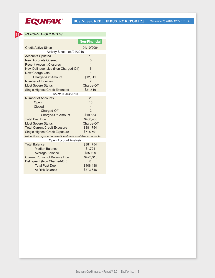

# **BUSINESS CREDIT INDUSTRY REPORT 2.0** *September 3, 2010 • 12:27 p.m. EDT*

# *REPORT HIGHLIGHTS*

**11** 

|                                                              | <b>Non-Financial</b>    |
|--------------------------------------------------------------|-------------------------|
| <b>Credit Active Since</b>                                   | 04/10/2004              |
| Activity Since: 06/01/2010                                   |                         |
| <b>Accounts Updated</b>                                      | 10                      |
| <b>New Accounts Opened</b>                                   | $\Omega$                |
| <b>Recent Account Closures</b>                               | 1                       |
| New Delinquencies (Non Charged-Off)                          | 6                       |
| New Charge-Offs                                              | 1                       |
| <b>Charged-Off Amount</b>                                    | \$12,311                |
| <b>Number of Inquiries</b>                                   | 7                       |
| <b>Most Severe Status</b>                                    | Charge-Off              |
| <b>Single Highest Credit Extended</b>                        | \$21,516                |
| As of: 09/03/2010                                            |                         |
| Number of Accounts                                           | 20                      |
| Open                                                         | 16                      |
| Closed                                                       | $\overline{\mathbf{A}}$ |
| Charged-Off                                                  | $\overline{2}$          |
| <b>Charged-Off Amount</b>                                    | \$19,554                |
| <b>Total Past Due</b>                                        | \$408,438               |
| <b>Most Severe Status</b>                                    | Charge-Off              |
| <b>Total Current Credit Exposure</b>                         | \$881,754               |
| <b>Single Highest Credit Exposure</b>                        | \$715,591               |
| NR = None reported or insufficient data available to compute |                         |
| Open Account Analysis                                        |                         |
| <b>Total Balance</b>                                         | \$881,754               |
| <b>Median Balance</b>                                        | \$1,721                 |
| <b>Average Balance</b>                                       | \$55,109                |
| <b>Current Portion of Balance Due</b>                        | \$473,316               |
| Delinquent (Non Charged-Off)                                 | 8                       |
| <b>Total Past Due</b>                                        | \$408,438               |
| At Risk Balance                                              | \$873,646               |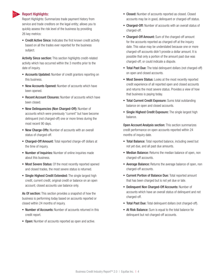#### Report Highlights:

11

 Report Highlights: Summarizes trade payment history from service and trade creditors on the legal entity; allows you to quickly assess the risk level of the business by providing 26 key metrics:

**- Credit Active Since:** Indicates the first known credit activity based on all the trades ever reported for the business subject.

Activity Since section: This section highlights credit-related activity which has occurred within the 3 months prior to the date of inquiry.

- **Accounts Updated:** Number of credit grantors reporting on this business.
- **New Accounts Opened:** Number of accounts which have been opened.
- **Recent Account Closures: Number of accounts which have** been closed.
- **New Delinquencies (Non Charged-Off): Number of** accounts which were previously "current" but have become delinquent (not charged-off) one or more times during the most recent 90 days.
- **New Charge-Offs: Number of accounts with an overall** status of charged-off.
- **Charged-Off Amount:** Total reported charge-off dollars at the time of inquiry.
- **Number of Inquiries:** Number of online inquiries made about this business.
- **Most Severe Status:** Of the most recently reported opened and closed trades, the most severe status is returned.
- **Single Highest Credit Extended:** The single largest high credit, current credit, original credit or balance on an open account; closed accounts use balance only.

As Of section: This section provides a snapshot of how the business is performing today based on accounts reported or closed within 24 months of inquiry.

- **Number of Accounts:** Number of accounts returned in this credit report.
- **Dpen:** Number of accounts reported as open and active.
- **Closed:** Number of accounts reported as closed. Closed accounts may be in good, delinquent or charged-off status.
- **Charged-Off:** Number of accounts with an overall status of charged-off.
- **Charged-Off Amount:** Sum of the charged-off amount for the accounts reported as charged-off at the inquiry date. This value may be understated because one or more charged-off accounts didn't provide a dollar amount. It is possible that only a portion of the amount past due was charged-off; or could indicate a dispute.
- Total Past Due: The total delinquent dollars (not charged-off) on open and closed accounts.
- **Most Severe Status:** Looks at the most recently reported credit experience of all reported open and closed accounts and returns the most severe status. Provides a view of how that business is paying today.
- **Total Current Credit Exposure:** Sums total outstanding balance on open and closed accounts.
- **Single Highest Credit Exposure:** The single largest high balance.

Open Account Analysis section: This section summarizes credit performance on open accounts reported within 24 months of inquiry date.

- **Total Balance:** Total reported balance, including owed but not yet due, and all past due amounts.
- **Median Balance:** Returns the median balance of open, non charged-off accounts.
- **Average Balance:** Returns the average balance of open, non charged-off accounts.
- **Current Portion of Balance Due: Total reported amount** that has been charged but is not yet due or late.
- **Delinquent Non Charged-Off Accounts: Number of** accounts which have an overall status of delinquent and not charged-off.
- **Total Past Due:** Total delinquent dollars (not charged-off).
- **At Risk Balance:** Sum is equal to the total balance for delinquent but not charged-off accounts.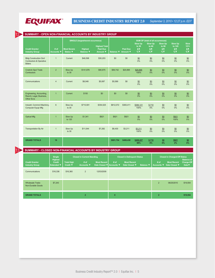

12

| SUMMARY - OPEN NON-FINANCIAL ACCOUNTS BY INDUSTRY GROUP                   |                    |                                       |                                          |                                                     |                  |                             |                                                         |                                                         |                                                         |                                                                |                                                              |  |  |
|---------------------------------------------------------------------------|--------------------|---------------------------------------|------------------------------------------|-----------------------------------------------------|------------------|-----------------------------|---------------------------------------------------------|---------------------------------------------------------|---------------------------------------------------------|----------------------------------------------------------------|--------------------------------------------------------------|--|--|
|                                                                           |                    |                                       | <b>SINGLE (largest/worst occurrence)</b> |                                                     |                  |                             |                                                         |                                                         | SUM OF (total of all occurrences)                       |                                                                |                                                              |  |  |
| <b>Credit Grantor</b><br><b>Industry Group</b>                            | # of<br>Accounts V | <b>Most Severe</b><br>Status <b>V</b> | <b>Highest</b><br>Balance $\Psi$         | <b>Highest Total</b><br><b>Past Due</b><br>Amount ▼ | Balance <b>V</b> | <b>Past Due</b><br>Amount ▼ | <b>Slow Up</b><br>to 30<br>$S_{\nabla}$<br>$%$ $\nabla$ | <b>Slow Up</b><br>to 60<br>$S_{\nabla}$<br>$%$ $\nabla$ | <b>Slow Up</b><br>to 90<br>$S_{\nabla}$<br>$%$ $\nabla$ | <b>Slow Up</b><br>to 120<br>$S_{\overline{X}}$<br>$%$ $\nabla$ | <b>Slow</b><br>$121 +$<br>$S_{\overline{X}}$<br>$%$ $\nabla$ |  |  |
| <b>Bldg Construction Gnrl</b><br>Contractors & Operative<br><b>Bdlers</b> | $\mathbf{1}$       | Current                               | \$46,598                                 | \$30,203                                            | \$0              | \$0                         | \$0<br>0%                                               | \$0<br>0%                                               | $\underline{\$0}$<br>0%                                 | \$0<br>0%                                                      | $\underline{\$0}$<br>0%                                      |  |  |
| <b>Cnstrctn Spcl Trade</b><br>Contractors                                 | $\overline{2}$     | Slow Up<br>to $30$                    | \$141,876                                | \$90,875                                            | \$56,742         | \$20,895                    | \$20,895<br>100%                                        | $\underline{\$0}$<br>0%                                 | $\underline{S0}$<br>0%                                  | \$0<br>0%                                                      | $\underline{S0}$<br>0%                                       |  |  |
| Communications                                                            | $\overline{4}$     | Current                               | \$8,048                                  | \$5,087                                             | \$5,589          | \$0                         | \$0<br>0%                                               | \$0<br>0%                                               | \$0<br>0%                                               | \$0<br>0%                                                      | \$0<br>0%                                                    |  |  |
| Engineering, Accounting,<br>Resrch, Legal, Business,<br>Other Sycs        | $\mathbf{1}$       | Current                               | \$150                                    | \$0                                                 | \$0              | \$0                         | $\underline{\$0}$<br>0%                                 | \$0<br>0%                                               | \$0<br>0%                                               | $\underline{\$0}$<br>0%                                        | $\underline{SO}$<br>0%                                       |  |  |
| Industrl, Commrcl Machinry,<br>Computer Equip Mfg                         | $6\phantom{a}$     | Slow Up<br>to $30$                    | \$715.591                                | \$354.525                                           | \$812,072        | \$383,411                   | \$384,121<br>100%                                       | $$ -710$<br>0%                                          | \$0<br>0%                                               | \$0<br>0%                                                      | \$0<br>0%                                                    |  |  |
| <b>Optical Mfg</b>                                                        | $\overline{1}$     | Slow Up<br>to 120                     | \$1,341                                  | \$921                                               | \$921            | \$921                       | $\underline{50}$<br>0%                                  | $\underline{S0}$<br>0%                                  | \$0<br>0%                                               | \$921<br>100%                                                  | $\underline{50}$<br>0%                                       |  |  |
| Transportation By Air                                                     | $\overline{1}$     | Slow Up<br>to $30$                    | \$11,044                                 | \$7,282                                             | \$6,430          | \$3,211                     | \$3,211<br>100%                                         | $\underline{S0}$<br>0%                                  | \$0<br>0%                                               | \$0<br>0%                                                      | $\underline{50}$<br>0%                                       |  |  |
| <b>GRAND TOTALS</b>                                                       | 16                 |                                       |                                          |                                                     | \$881,754        | \$408,438                   | \$408,227<br>98%                                        | $$ -710$<br>0%                                          | \$0<br>0%                                               | \$921<br>2%                                                    | $\underline{50}$<br>0%                                       |  |  |

13 **SUMMARY - CLOSED NON-FINANCIAL ACCOUNTS BY INDUSTRY GROUP**

|                                                | Single<br><b>Highest</b>           | <b>Closed in Current Standing</b> |                           |                                                |              | <b>Closed in Delinquent Status</b>  |                  | <b>Closed in Charged-Off Status</b><br><b>Balance at</b> |                                     |                             |  |
|------------------------------------------------|------------------------------------|-----------------------------------|---------------------------|------------------------------------------------|--------------|-------------------------------------|------------------|----------------------------------------------------------|-------------------------------------|-----------------------------|--|
| <b>Credit Grantor</b><br><b>Industry Group</b> | <b>Credit</b><br>Extended $\nabla$ | <b>Total High</b><br>Credit ▼     | # of<br><b>Accounts ▼</b> | <b>Most Recent</b><br>Date Closed V Accounts V | $#$ of       | <b>Most Recent</b><br>Date Closed ▼ | <b>Balance ▼</b> | # of<br>Accounts ▼                                       | <b>Most Recent</b><br>Date Closed ▼ | Charge-Off<br>Date $\nabla$ |  |
| Communications                                 | \$16,336                           | \$16,360                          | 2                         | 12/03/2009                                     |              |                                     |                  |                                                          |                                     |                             |  |
| <b>Wholesale Trade-</b><br>Non-Durable Goods   | \$7,243                            |                                   |                           |                                                |              |                                     |                  | $\overline{2}$                                           | 06/25/2010                          | \$19,554                    |  |
| <b>GRAND TOTALS</b>                            |                                    |                                   | $\overline{2}$            |                                                | $\mathbf{0}$ |                                     |                  | $\overline{2}$                                           |                                     | \$19,554                    |  |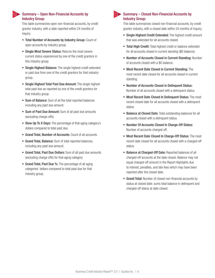

## 12 Summary – Open Non-Financial Accounts by 13 Industry Group:

This table summarizes open non-financial accounts, by credit grantor industry, with a date reported within 24 months of inquiry.

- Total Number of Accounts by Industry Group: Count of open accounts by industry group.
- **Single Most Severe Status: Returns the most severe** current status experienced by one of the credit grantors in this industry group.
- **Single Highest Balance:** The single highest credit extended or past due from one of the credit grantors for that industry group.
- **Single Highest Total Past Due Amount:** The single highest total past due as reported by one of the credit grantors for that industry group.
- **Sum of Balance:** Sum of all the total reported balances including any past due amount.
- **Sum of Past Due Amount:** Sum of all past due amounts (excluding charge-offs).
- **Slow Up To X Days:** The percentage of that aging category's dollars compared to total past due.
- Grand Total, Number of Accounts: Count of all accounts.
- **Grand Total, Balance:** Sum of total reported balances, including any past due amount.
- **Grand Total, Past Due Dollars:** Sum of all past due amounts (excluding charge-offs) for that aging category.
- Grand Total, Past Due %: The percentage of all aging categories' dollars compared to total past due for that industry group.

# $\triangleright$  Summary – Closed Non-Financial Accounts by Industry Group:

This table summarizes closed non-financial accounts, by credit grantor industry, with a closed date within 24 months of inquiry.

- **Single Highest Credit Extended:** The highest credit amount that was extended for all accounts closed.
- **Total High Credit:** Total highest credit or balance extended for all accounts closed in current standing (\$0 balance).
- Number of Accounts Closed in Current Standing: Number of accounts closed with a \$0 balance.
- **Most Recent Date Closed in Current Standing:** The most recent date closed for all accounts closed in current standing.
- Number of Accounts Closed in Delinquent Status: Number of all accounts closed with a delinquent status.
- Most Recent Date Closed In Delinquent Status: The most recent closed date for all accounts closed with a delinquent status.
- **Balance at Closed Date:** Total outstanding balances for all accounts closed with a delinquent status.
- Number Of Accounts Closed In Charge-Off Status: Number of accounts charged-off.
- Most Recent Date Closed In Charge-Off Status: The most recent date closed for all accounts closed with a charged-off status.
- **Balance at Charged-Off Date: Reported balances of all** charged-off accounts at the date closed. Balance may not equal charged-off amount in the Report Highlights due to interest, penalties, and late fees which may have been reported after the closed date.
- Grand Total: Number of closed non-financial accounts by status at closed date; sums total balance in delinquent and charged-off status at date closed.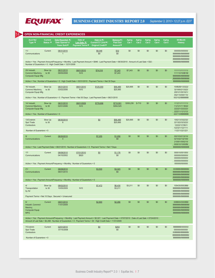

**BUSINESS CREDIT INDUSTRY REPORT 2.0** *September 3, 2010 • 12:27 p.m. EDT*

| <b>Acct No/</b><br>Type $\Psi$                                                                              | <b>Current</b><br>Status $\Psi$ | Date Reported ▼/<br>Date Opened or<br>Years Sold ▼                         | Date of<br>Last Sale V/<br><b>Payment Terms ▼</b> | High Cr V/<br>Current Cr Limit V/<br><b>Original Credit ▼</b>                                                                                                                                                                                                      | Balance V/<br><b>Past Due</b><br>Amount $\nabla$ | Aging<br>Cat 1   | Aging<br>Cat 2 | <b>Aging</b><br>Cat <sub>3</sub> | <b>Aging</b><br>Cat 4 | Aging<br>Cat 5 | 60-Month<br><b>History</b>                                                                     |
|-------------------------------------------------------------------------------------------------------------|---------------------------------|----------------------------------------------------------------------------|---------------------------------------------------|--------------------------------------------------------------------------------------------------------------------------------------------------------------------------------------------------------------------------------------------------------------------|--------------------------------------------------|------------------|----------------|----------------------------------|-----------------------|----------------|------------------------------------------------------------------------------------------------|
| 11/<br>Communications                                                                                       | Current                         | 08/31/2010<br>$\mathbf{1}$                                                 |                                                   | \$8,048<br>\$0                                                                                                                                                                                                                                                     | \$32<br>\$0                                      | \$0              | \$0            | \$0                              | \$0                   | \$0            | 000000/000000/<br>BBBBBBBBBBBBBBBB<br>BBBBBBBBBBBBBBBB<br>BBBBBBBBBBBBBBBB                     |
|                                                                                                             |                                 | Number of Guarantors = 0 : High Credit Date = 12/31/2009                   |                                                   | Active = Yes: Payment Amount/Frequency = Monthly: Last Payment Amount = \$946: Last Payment Date = 06/30/2010: Amount of Last Sale = \$32:                                                                                                                         |                                                  |                  |                |                                  |                       |                | BBBBBBBBBBBBBBBBBBBBBBBBBBBBBB                                                                 |
| 20/ Industri.<br>Commrcl Machinry,<br><b>Computer Equip Mfg</b>                                             | Slow Up<br>to 30                | 08/31/2010<br>09/05/2008                                                   | 08/01/2010<br>N <sub>10</sub>                     | \$74,018                                                                                                                                                                                                                                                           | \$7,243<br>\$7,243                               | \$7,243          | \$0            | \$0                              | \$0                   | \$0            | 111111/111111/<br>111110/100B1B/<br>BBBBBBBBBBBBBBBB<br>BBBBBBBBBBBBBBBB                       |
|                                                                                                             |                                 |                                                                            |                                                   | Active = Yes: Number of Guarantors = 0 : High Credit Date = 03/31/2010 : Payment Terms = Net 30 Days                                                                                                                                                               |                                                  |                  |                |                                  |                       |                | BBBBBBBBBBBBBBBBBB                                                                             |
| 16/ Industrl,<br>Commrcl Machinry,<br><b>Computer Equip Mfg</b>                                             | Slow Up<br>to 30                | 08/31/2010<br>03/02/2006                                                   | 08/01/2010<br>N <sub>10</sub>                     | \$125,000<br>Active = Yes: Number of Guarantors = 0 : Payment Terms = Net 30 Days : Last Payment Date = 08/21/2010                                                                                                                                                 | \$56,489<br>\$20,895                             | \$20,895         | \$0            | \$0                              | \$0                   | \$0            | 100B2B/133322/<br>321000/213322/<br>200121/001021/<br>002110/000110/<br>002102/BBBBBB          |
|                                                                                                             |                                 |                                                                            |                                                   |                                                                                                                                                                                                                                                                    |                                                  |                  |                |                                  |                       |                |                                                                                                |
| 14/ Industrl,<br>Commrcl Machinry,<br><b>Computer Equip Mfg</b><br>Active = $Yes: Number of Gaarantors = 0$ | Slow Up<br>to $30$              | 08/31/2010<br>02/01/2006                                                   | 08/01/2009<br>N <sub>10</sub>                     | \$778,696                                                                                                                                                                                                                                                          | \$715,591<br>\$354,525                           | \$355,235 \$-710 |                | \$0                              | \$0                   | \$0            | 111211/111111/<br>112121/111B32/<br>222221/2222222/<br>222211/121212/<br>222110/BBBBBB         |
|                                                                                                             |                                 |                                                                            |                                                   |                                                                                                                                                                                                                                                                    |                                                  |                  |                |                                  |                       |                |                                                                                                |
| 13/Cnstrctn<br>Spcl Trade<br>Contractors                                                                    | Slow Up<br>to 30                | 08/30/2010<br>6                                                            |                                                   | \$0                                                                                                                                                                                                                                                                | \$56,489<br>\$20,895                             | \$20,895         | \$0            | \$0                              | \$0                   | \$0            | 100213/332232/<br>221322/323222/<br>12222/121B21/<br>122321/122111/                            |
| Number of Guarantors = $0$                                                                                  |                                 |                                                                            |                                                   |                                                                                                                                                                                                                                                                    |                                                  |                  |                |                                  |                       |                | 112211/221221                                                                                  |
| 9/<br>Communications                                                                                        | Current                         | 08/30/2010<br>$\overline{4}$                                               |                                                   | \$7,255                                                                                                                                                                                                                                                            | \$1,058<br>\$0                                   | \$0              | \$0            | \$0                              | \$0                   | \$0            | 002103/213210/<br>021032/132100/<br>210001/000210/<br>000010/10000B/                           |
|                                                                                                             |                                 |                                                                            |                                                   | Active = Yes : Last Payment Date = 08/21/2010 : Number of Guarantors = 0: Payment Terms = Net 7 Days                                                                                                                                                               |                                                  |                  |                |                                  |                       |                | <b>BBBBBB/BBBBBBB</b>                                                                          |
| 17/<br>Communications                                                                                       | Current                         | 08/08/2010<br>04/10/2002                                                   | 07/01/2010<br>\$820                               | $\underline{50}$                                                                                                                                                                                                                                                   | \$1,176<br>\$0                                   | \$0              | \$0            | \$0                              | \$0                   | \$0            | 000010/001000/<br>000000/000000/<br>000000/000000/<br>000000/000000/                           |
|                                                                                                             |                                 | Active = Yes: Payment Amount/Frequency = Monthly: Number of Guarantors = 0 |                                                   |                                                                                                                                                                                                                                                                    |                                                  |                  |                |                                  |                       |                | 000000/000000                                                                                  |
| 21/<br>Communications                                                                                       | Current                         | 08/08/2010<br>06/01/2010                                                   |                                                   | \$3,500                                                                                                                                                                                                                                                            | \$3,323<br>\$0                                   | \$0              | \$0            | \$0                              | \$0                   | \$0            | 000BBB/BBBBBB/<br>BBBBBBBBBBBBBBB<br>BBBBBBBBBBBBBBB<br>BBBBBBBBBBBBBBBB                       |
|                                                                                                             |                                 | Active = Yes: Payment Amount/Frequency = Monthly: Number of Guarantors = 0 |                                                   |                                                                                                                                                                                                                                                                    |                                                  |                  |                |                                  |                       |                | BBBBBBBBBBBBBBBBBB                                                                             |
| 4/<br>Transportation<br>by Air                                                                              | Slow Up<br>to 30                | 08/02/2010<br>10/05/2009                                                   | N <sub>10</sub>                                   | \$7,472                                                                                                                                                                                                                                                            | \$6,430<br>\$3,211                               | \$3,211          | \$0            | \$0                              | \$0                   | \$0            | 105435/5553BB/<br>BBBBBB/BBBBBBB/<br>BBBBBBBBBBBBBBBB<br>BBBBBBBBBBBBBBBB                      |
|                                                                                                             |                                 | Payment Terms = Net 10 Days : Secured = Unsecured                          |                                                   |                                                                                                                                                                                                                                                                    |                                                  |                  |                |                                  |                       |                | BBBBBBBBBBBBBBBBBB                                                                             |
| 6/<br>Industri, Commrci<br>Macinry,<br><b>Computer Equip</b><br><b>MFG</b>                                  | Current                         | 08/01/2010<br>11/01/2009                                                   |                                                   | \$2,890                                                                                                                                                                                                                                                            | \$2,266                                          | \$0              | \$0            | \$0                              | \$0                   | \$0            | 00BB00/0000BB/<br>BBBBBBBBBBBBBBB<br>BBBBBBBBBBBBBBBB<br>BBBBBBBBBBBBBBB<br>BBBBBBBBBBBBBBBBBB |
|                                                                                                             |                                 |                                                                            |                                                   | Active = Yes: Payment Amouont/Frequency = Monthly: Last Payment Amount = \$2,021: Last Payment Date = 07/07/2010: Date of Last Sale = 07/24/2010:<br>Amount of Last Sale = \$2,266 : Number of Guarantors = 0 : Payment Terms = 30 : High Credit Date = 11/01/2009 |                                                  |                  |                |                                  |                       |                |                                                                                                |
| 7/Cnstrctn<br>Spcl Trade<br>Contractors                                                                     | Current                         | 02/01/2010<br>07/15/2008                                                   |                                                   | $\underline{50}$                                                                                                                                                                                                                                                   | \$253<br>\$0                                     | \$0              | \$0            | \$0                              | \$0                   | \$0            | BBBBBB/000000/<br>000000/000000/<br>00BBBB/BBBBBB/                                             |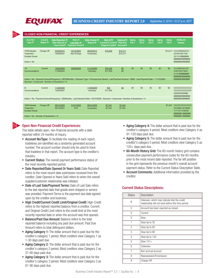

| <b>CLOSED NON-FINANCIAL CREDIT EXPERIENCES</b>               |                                   |                                                                                                                                                                                                                |                                                   |                                                  |                                                        |                                                  |                |                |                           |                |                |                                                                                                 |
|--------------------------------------------------------------|-----------------------------------|----------------------------------------------------------------------------------------------------------------------------------------------------------------------------------------------------------------|---------------------------------------------------|--------------------------------------------------|--------------------------------------------------------|--------------------------------------------------|----------------|----------------|---------------------------|----------------|----------------|-------------------------------------------------------------------------------------------------|
| <b>Acct No/</b><br>Type $\blacktriangledown$                 | <b>Current</b><br><b>Status ▼</b> | Date Reported VI<br>Date Opened or<br><b>Years Sold ▼</b>                                                                                                                                                      | Date of<br>Last Sale ▼/<br><b>Payment Terms</b> ▼ | Date Closed ▼/<br>Reason $\overline{\mathbf{v}}$ | High Cr ▼/<br>Current Cr Limit ▼/<br>Original Credit V | Balance <b>V</b> /<br><b>Past Due</b><br>Amount▼ | Aging<br>Cat 1 | Aging<br>Cat 2 | Aging<br>Cat <sub>3</sub> | Aging<br>Cat 4 | Aging<br>Cat 5 | 60-Month<br><b>History</b>                                                                      |
| 10/Wholesale<br>Trade-Non-<br>Durable Goods<br>$Active = No$ | Charge Off                        | 04/25/2010<br>10/09/2007                                                                                                                                                                                       | 04/12/2009<br>Net 30 Days                         | 06/25/2010<br>Involuntary                        | \$15,000                                               | \$12,311<br>\$12,311                             |                |                |                           |                |                | \$12,311 CCCC99/543210/<br>321001/001100/<br>321101/BBBBBB/<br>BBBBBB/BBBBBBB<br>BBBBBB/BBBBBBB |
|                                                              |                                   |                                                                                                                                                                                                                |                                                   |                                                  |                                                        |                                                  |                |                |                           |                |                |                                                                                                 |
| 15/<br>Communications                                        | Current                           | 12/03/2009<br>11/29/2004                                                                                                                                                                                       | 05/29/2009                                        | 11/13/2009<br>Voluntary                          | \$16,336<br>\$17.925                                   | \$0<br>\$0                                       | \$0            | \$0            | \$0                       | \$0            | \$0            | CCC995/432103/<br>210010/011003/<br>21101B/BBBBBB/<br>BBBBBB/BBBBBBB                            |
|                                                              |                                   | Active = No: Payment Amount/Frequency = \$579/Monthly: Payment Type = Principal and Interest: Last Payment Amount = \$589: Last Payment Date = 11/12/2009:<br>Secured = Unsecured : Number of Guarantors = $0$ |                                                   |                                                  |                                                        |                                                  |                |                |                           |                |                | BBBBBB/BBBBBB                                                                                   |
| 8/<br>Communications                                         | Current                           | 11/29/2009<br>12/20/2007                                                                                                                                                                                       |                                                   | 11/09/2009<br>Voluntary                          | \$24<br>\$11,500                                       | \$0                                              | \$0            | \$0            | \$0                       | \$0            | \$0            | CCCCCC/CCCCCC<br>CCCCCC/CCCCCO<br>000000/0000BB/<br>BBBBBB/BBBBBBB                              |
|                                                              |                                   | Active = No: Payment Amount/Frequency = \$0/Monthly: Last Payment Date = 02/10/2008: Secured = Unsecured: Number of Guarantors = 0                                                                             |                                                   |                                                  |                                                        |                                                  |                |                |                           |                |                | BBBBBB/BBBBBBB                                                                                  |
| 18/Wholesale<br>Trade-Non-<br><b>Durable Goods</b>           | Charge Off                        | 06/31/2009<br>05/15/2007                                                                                                                                                                                       | 01/01/2009<br><b>N10</b>                          | 06/31/2009<br>Involuntary                        | \$7,243<br>\$7,243                                     | \$7,243<br>\$7,243                               |                |                |                           |                | \$7,243        | CCCCCC/CCCCCCC<br>CCC954/3210000/<br>111110/101B1B/<br><b>BBBBBB/BBBBBBB</b>                    |
| Active = $No: Number of Gaarantors = 0$                      |                                   |                                                                                                                                                                                                                |                                                   |                                                  |                                                        |                                                  |                |                |                           |                |                | <b>BBBBBB/BBBBBBB</b>                                                                           |

14

15

# Open Non-Financial Credit Experiences:

This table details open, non-financial accounts with a date reported within 24 months of inquiry.

- **Account No/Type:** To facilitate the reading of each report, tradelines are identified via a randomly generated account number. The account number should only be used to track that tradeline in that report. The account type is the creditor's industry.
- **Current Status:** The overall payment performance status of the most recently reported period.
- **Date Reported/Date Opened Or Years Sold: Date Reported** refers to the most recent data submission received from the creditor; Date Opened or Years Sold refers to when the overall supplier/customer relationship was initiated.
- **Date of Last Sale/Payment Terms: Date of Last Sale refers** to the last reported date that goods were shipped or service was provided. Payment Terms is the payment due date agreed upon by the creditor and business.
- High Credit/Current Credit Limit/Original Credit: High Credit refers to the highest reported balance from a creditor. Current and Original Credit Limit refers to the credit limit at the most recently reported date or when the account was first opened.
- **Balance/Past Due Amount: Balance refers to the total** reported balance including any past due amount. Past Due Amount refers to total delinquent dollars.
- **Aging Category 1:** The dollar amount that is past due for the creditor's category 1 period. Most creditors view Category 1 as 1-30 days past due.
- **Aging Category 2:** The dollar amount that is past due for the creditor's category 2 period. Most creditors view Category 2 as 31-60 days past due.
- **Aging Category 3:** The dollar amount that is past due for the creditor's category 3 period. Most creditors view Category 3 as 61-90 days past due.
- **Aging Category 4:** The dollar amount that is past due for the creditor's category 4 period. Most creditors view Category 4 as 91-120 days past due.
- **Aging Category 5:** The dollar amount that is past due for the creditor's category 5 period. Most creditors view Category 5 as 120+ days past due.
- **60-Month History Grid:** The 60-month history grid contains consecutive payment performance codes for the 60 months prior to the most recent date reported. The far left position in the grid represents the previous month's overall account payment status. Refer to the Current Status Description Table.
- **Account Comments:** Additional information provided by the creditor.

#### Current Status Descriptions:

| <b>Status</b>  | Description                                                                                        |
|----------------|----------------------------------------------------------------------------------------------------|
| B              | Unknown, which may indicate that the credit<br>relationship did not exist before this time period. |
| C              | Account has been reported as closed.                                                               |
| 0              | Current                                                                                            |
| S              | Slow                                                                                               |
| 1              | Slow Up to 30                                                                                      |
| $\overline{c}$ | Slow Up to 60                                                                                      |
| 3              | Slow Up to 90                                                                                      |
| 4              | Slow Up to 120                                                                                     |
| 5              | $Slow 121+$                                                                                        |
| 6              | Collection                                                                                         |
| 7              | Non-accrual account                                                                                |
| 8              | Repossession/Foreclosure                                                                           |
| 9              | Charge-Off                                                                                         |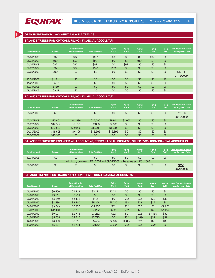

#### **OPEN NON-FINANCIAL ACCOUNT BALANCE TRENDS**

#### **BALANCE TRENDS FOR OPTICAL MFG, NON-FINANCIAL ACCOUNT #1**

| Date Reported | <b>Balance</b> | <b>Current Portion</b><br>of Balance Due | <b>Total Past Due</b> | Aging<br>Cat 1 | Aging<br>Cat 2 | Aging<br>Cat <sub>3</sub> | <b>Aging</b><br>Cat 4 | Aging<br>Cat 5 | <b>Last Payment Amount</b><br><b>Last Payment Date</b> |
|---------------|----------------|------------------------------------------|-----------------------|----------------|----------------|---------------------------|-----------------------|----------------|--------------------------------------------------------|
| 06/31/2009    | \$921          | \$921                                    | \$921                 | \$0            | \$0            | \$0                       | \$921                 | \$0            |                                                        |
| 05/31/2009    | \$921          | \$921                                    | \$921                 | \$0            | \$0            | \$921                     | \$0                   | \$0            |                                                        |
| 04/31/2009    | \$921          | \$921                                    | \$921                 | \$0            | \$921          | \$0                       | \$0                   | \$0            |                                                        |
| 02/28/2009    | \$921          | \$921                                    | \$921                 | \$921          | \$0            | \$0                       | \$0                   | \$0            |                                                        |
| 02/30/2009    | \$921          | \$0                                      | \$0                   | \$0            | \$0            | \$0                       | \$0                   | \$0            | \$1,341                                                |
|               |                |                                          |                       |                |                |                           |                       |                | 01/15/2009                                             |
| 12/31/2008    | \$1.341        | \$0                                      | \$0                   | \$0            | \$0            | \$0                       | \$0                   | \$0            |                                                        |
| 11/29/2008    | \$567          | \$0                                      | \$0                   | \$0            | \$0            | \$0                       | \$0                   | \$0            |                                                        |
| 10/31/2008    | \$789          | \$0                                      | \$0                   | \$0            | \$0            | \$0                       | \$0                   | \$0            |                                                        |
| 09/31/2008    | \$345          | \$0                                      | \$0                   | \$0            | \$0            | \$0                       | \$0                   | \$0            |                                                        |
|               |                |                                          |                       |                |                |                           |                       |                |                                                        |

#### **BALANCE TRENDS FOR OPTICAL MFG, NON-FINANCIAL ACCOUNT #2**

| <b>Date Reported</b> | <b>Balance</b> | <b>Current Portion</b><br>of Balance Due | <b>Total Past Due</b> | <b>Aging</b><br>Cat 1 | Aging<br>Cat 2 | Aging<br>Cat <sub>3</sub> | <b>Aging</b><br>Cat 4 | Aging<br>Cat 5 | <b>Last Payment Amount</b><br><b>Last Payment Date</b> |
|----------------------|----------------|------------------------------------------|-----------------------|-----------------------|----------------|---------------------------|-----------------------|----------------|--------------------------------------------------------|
| 08/30/2009           | \$0            | \$0                                      | \$0                   | \$0                   | \$0            | \$0                       | \$0                   | \$0            | \$12,596<br>08/12/2009                                 |
| 07/30/2009           | \$25.861       | \$12,596                                 | \$12,596              | \$9.911               | \$2,685        | \$0                       | \$0                   | \$0            |                                                        |
| 06/26/2009           | \$12,569       | \$2,658                                  | \$2,658               | \$2,685               | \$0            | \$0                       | \$0                   | \$0            |                                                        |
| 05/30/2009           | \$32,658       | \$30,203                                 | \$30,203              | \$30,203              | \$0            | \$0                       | \$0                   | \$0            |                                                        |
| 04/30/2009           | \$46,598       | \$16,395                                 | \$16,395              | \$16,395              | \$0            | \$0                       | \$0                   | \$0            |                                                        |
| 03/30/2009           | \$16,395       | \$0                                      | \$0                   | \$0                   | \$0            | \$0                       | \$0                   | \$0            |                                                        |

#### **BALANCE TRENDS FOR ENGINEERING, ACCOUNTING, RESRCH, LEGAL, BUSINESS, OTHER SVCS, NON-FINANCIAL ACCOUNT #3**

| <b>Date Reported</b> | <b>Balance</b> | <b>Current Portion</b><br>of Balance Due                                 | <b>Total Past Due</b> | <b>Aging</b><br>Cat 1 | Aging<br>Cat 2 | Aging<br>Cat <sub>3</sub> | Aging<br>Cat 4 | Aging<br>Cat <sub>5</sub> | <b>Last Payment Amount</b><br><b>Last Payment Date</b> |
|----------------------|----------------|--------------------------------------------------------------------------|-----------------------|-----------------------|----------------|---------------------------|----------------|---------------------------|--------------------------------------------------------|
| 12/31/2008           | \$0            | \$0                                                                      | \$0                   | \$0                   | \$0            | \$0                       | \$0            | \$0                       |                                                        |
|                      |                | All history between 12/31/2008 and 09/31/2008 is the same as 12/31/2008. |                       |                       |                |                           |                |                           |                                                        |
| 09/31/2008           | \$0            | \$0                                                                      | \$0                   | \$0                   | \$0            | \$0                       | \$0            | \$0                       | \$150<br>08/27/2008                                    |

#### **BALANCE TRENDS FOR TRANSPORTATION BY AIR, NON-FINANCIAL ACCOUNT #4**

| <b>Date Reported</b> | <b>Balance</b> | <b>Current Portion</b><br>of Balance Due | <b>Total Past Due</b> | Aging<br>Cat 1 | <b>Aging</b><br>Cat 2 | Aging<br>Cat <sub>3</sub> | <b>Aging</b><br>Cat 4 | Aging<br>Cat 5 | <b>Last Payment Amount</b><br><b>Last Payment Date</b> |
|----------------------|----------------|------------------------------------------|-----------------------|----------------|-----------------------|---------------------------|-----------------------|----------------|--------------------------------------------------------|
| 08/02/2010           | \$6,430        | \$3,219                                  | \$3,211               | \$3,211        | \$0                   | \$0                       | \$0                   | \$0            |                                                        |
| 07/01/2010           | \$3.211        | \$3,211                                  | \$0                   | \$0            | \$0                   | \$0                       | \$0                   | \$0            |                                                        |
| 06/02/2010           | \$3.260        | \$3,132                                  | \$128                 | \$0            | \$32                  | \$32                      | \$32                  | \$32           |                                                        |
| 05/01/2010           | \$8.436        | \$3.140                                  | \$5,296               | \$5,200        | \$32                  | \$32                      | \$32                  | \$0            |                                                        |
| 04/01/2010           | \$3.243        | \$5,200                                  | $-$1,957$             | \$32           | \$32                  | \$32                      | \$0                   | $-$2.053$      |                                                        |
| 03/03/2010           | \$11.044       | \$3.762                                  | \$7,282               | \$32           | \$32                  | \$0                       | \$32                  | \$7,186        |                                                        |
| 02/01/2010           | \$9,997        | \$2.715                                  | \$7.282               | \$32           | \$0                   | \$32                      | \$7.186               | \$32           |                                                        |
| 01/01/2010           | \$5.505        | \$2.715                                  | \$2,790               | \$0            | \$32                  | \$2.694                   | \$32                  | \$32           |                                                        |
| 12/01/2009           | \$8.199        | \$2.715                                  | \$5.484               | \$2.694        | \$2,694               | \$32                      | \$32                  | \$32           |                                                        |
| 11/01/2009           | \$5.224        | \$2.694                                  | \$2,530               | \$2.694        | \$32                  | \$32                      | $-$228$               | \$0            |                                                        |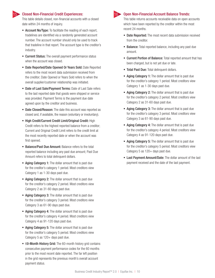

#### **Closed Non-Financial Credit Experiences:**

This table details closed, non-financial accounts with a closed date within 24 months of inquiry.

- **Account No/Type:** To facilitate the reading of each report, tradelines are identified via a randomly generated account number. The account number should only be used to track that tradeline in that report. The account type is the creditor's industry.
- **Current Status:** The overall payment performance status when the account was closed.
- **Date Reported/Date Opened Or Years Sold: Date Reported** refers to the most recent data submission received from the creditor; Date Opened or Years Sold refers to when the overall supplier/customer relationship was initiated.
- **Date of Last Sale/Payment Terms: Date of Last Sale refers** to the last reported date that goods were shipped or service was provided. Payment Terms is the payment due date agreed upon by the creditor and business.
- **Date Closed/Reason:** The date this account was reported as closed and, if available, the reason (voluntary or involuntary).
- High Credit/Current Credit Limit/Original Credit: High Credit refers to the highest reported balance from a creditor; Current and Original Credit Limit refers to the credit limit at the most recently reported date or when the account was first opened.
- **Balance/Past Due Amount: Balance refers to the total** reported balance including any past due amount; Past Due Amount refers to total delinquent dollars.
- **Aging Category 1:** The dollar amount that is past due for the creditor's category 1 period. Most creditors view Category 1 as 1-30 days past due.
- **Aging Category 2:** The dollar amount that is past due for the creditor's category 2 period. Most creditors view Category 2 as 31-60 days past due.
- **Aging Category 3:** The dollar amount that is past due for the creditor's category 3 period. Most creditors view Category 3 as 61-90 days past due.
- **Aging Category 4:** The dollar amount that is past due for the creditor's category 4 period. Most creditors view Category 4 as 91-120 days past due.
- **Aging Category 5:** The dollar amount that is past due for the creditor's category 5 period. Most creditors view Category 5 as 120+ days past due.
- **60-Month History Grid:** The 60-month history grid contains consecutive payment performance codes for the 60 months prior to the most recent date reported. The far left position in the grid represents the previous month's overall account payment status.

#### Open Non-Financial Account Balance Trends:

This table returns accounts receivable data on open accounts which have been reported by the creditor within the most recent 24 months.

- Date Reported: The most recent data submission received from the creditor.
- **Balance:** Total reported balance, including any past due amount.
- **Current Portion of Balance:** Total reported amount that has been charged, but is not yet due or late.
- **Total Past Due: Total delinquent dollars.**
- **Aging Category 1:** The dollar amount that is past due for the creditor's category 1 period. Most creditors view Category 1 as 1-30 days past due.
- **Aging Category 2:** The dollar amount that is past due for the creditor's category 2 period. Most creditors view Category 2 as 31-60 days past due.
- **Aging Category 3:** The dollar amount that is past due for the creditor's category 3 period. Most creditors view Category 3 as 61-90 days past due.
- **Aging Category 4:** The dollar amount that is past due for the creditor's category 4 period. Most creditors view Category 4 as 91-120 days past due.
- **Aging Category 5:** The dollar amount that is past due for the creditor's category 5 period. Most creditors view Category 5 as  $120+$  days past due.
- **Last Payment Amount/Date:** The dollar amount of the last payment received and the date of the last payment.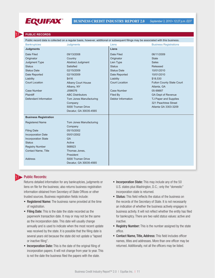

#### **PUBLIC RECORDS**

17

Public record data is collected on a regular basis, however, additional or subsequent filings may be associated with this business.

| <b>Bankruptcies</b>                                                                                                                                                                                 | <b>Judgments</b>                                                                                                                                                                                                                                                   | Liens                                                                                                                                                                                | <b>Business Registrations</b>                                                                                                                                                                                                                                       |
|-----------------------------------------------------------------------------------------------------------------------------------------------------------------------------------------------------|--------------------------------------------------------------------------------------------------------------------------------------------------------------------------------------------------------------------------------------------------------------------|--------------------------------------------------------------------------------------------------------------------------------------------------------------------------------------|---------------------------------------------------------------------------------------------------------------------------------------------------------------------------------------------------------------------------------------------------------------------|
| <b>Judgments</b>                                                                                                                                                                                    |                                                                                                                                                                                                                                                                    | Liens                                                                                                                                                                                |                                                                                                                                                                                                                                                                     |
| Date Filed<br>Originator<br>Judgment Type<br><b>Status</b><br><b>Status Date</b><br>Date Reported<br>Liability<br><b>Court Location</b><br><b>Case Number</b><br>Plaintiff<br>Defendant Information | 09/13/2008<br>Country<br>Abstract Judgment<br>Satisfied<br>02/15/2009<br>02/19/2009<br>\$416<br><b>Albany Court House</b><br>Albany, NY<br>J098076<br><b>ABC Distributors</b><br>Tom Jones Manufacturing<br>Company<br>5000 Truman Drive<br>Decatur, GA 30035-4565 | Date Filed<br>Originator<br>Lien Type<br><b>Status</b><br><b>Status Date</b><br>Date Reported<br>Liability<br><b>Court Location</b><br>Case Number<br>Filed By<br>Debtor Information | 06/11/2009<br><b>State</b><br><b>Sales</b><br>Released<br>10/01/2010<br>10/01/2010<br>\$18,530<br><b>Fulton County State Court</b><br>Atlanta, GA<br>05-99887<br><b>GA Dept of Revenue</b><br>TJ Paper and Supplies<br>321 Peachtree Street<br>Atlanta GA 3303-3209 |
| <b>Business Registration</b>                                                                                                                                                                        |                                                                                                                                                                                                                                                                    |                                                                                                                                                                                      |                                                                                                                                                                                                                                                                     |
| <b>Registered Name</b><br><b>Filing Date</b><br><b>Incorporation Date</b><br><b>Incorporation State</b><br><b>Status</b><br><b>Registry Number</b><br><b>Contact Name, Title</b><br><b>Address</b>  | Tom Jones Manufacturing<br>Company<br>05/15/2002<br>05/01/2002<br><b>GA</b><br>Active<br>568923<br>Thomas Jones,<br>President<br>5000 Truman Drive<br>Decatur, GA 30035-4565                                                                                       |                                                                                                                                                                                      |                                                                                                                                                                                                                                                                     |

#### Public Records:

17

Returns detailed information for any bankruptcies, judgments or liens on file for the business; also returns business registration information obtained from Secretary of State Offices or other trusted sources. Business registration fields include:

- **Registered Name:** The business name provided at the time of registration.
- Filing Date: This is the date the state recorded as the paperwork transaction date. It may or may not be the same as the incorporation date. This date will usually change annually and is used to indicate when the most recent update was received by the state. It is possible that the filing date is several years old because the state did not update a "lapsed or inactive filing".
- **Incorporation Date:** This is the date of the original filing of incorporation papers. It will not change from year to year. This is not the date the business filed the papers with the state.
- **Incorporation State:** This may include any of the 50 U.S. states plus Washington, D.C.; only the "domestic" incorporation state is returned.
- **Status:** This field reflects the status of the business on the records of the Secretary of State. It is not necessarily an indication of whether the business actively engages in business activity. It will not reflect whether the entity has filed for bankruptcy. There are two valid status values: active and inactive.
- **Registry Number:** This is the number assigned by the state office.
- Contact Name, Title, Address: This field includes officer names, titles and addresses. More than one officer may be returned. Additionally, not all the officers may be listed.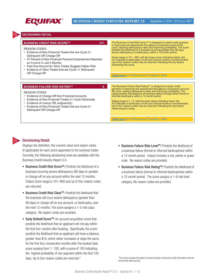

#### **DECISIONING DETAIL**

| <b>BUSINESS CREDIT RISK SCORE™</b><br>317<br>REASON CODES<br>Evidence of Non-Financial Trades that are Cycle 2+<br>Delinguent OR Charge-Off<br>57 Percent of Non-Financial Payment Experiences Reported<br>$\bullet$<br>as Current in Last 3 Months<br>Past Due Amount for Telco Trades Suggest Higher Risk<br>Evidence of Telco Trades that are Cycle 1+ Delinquent<br>OR Charge-Off | The Business Credit Risk Score™ is designed to assist credit grantors<br>in improving risk assessment throughout a business's account life<br>cycle, reducing delinguency rates and improving profitability. The score<br>predicts the likelihood of a business incurring greater than 90 days<br>severe delinguency or bankruptcy, within a 12-month period.<br>Score range is 101 - 660, with the lower score indicating higher risk.<br>A 0 indicates a bankruptcy on file and manual review is recommended.<br>Up to four reason codes may be returned indicating the top factors<br>influencing the score.<br><b>Click here</b> for Performance Projection Table |
|---------------------------------------------------------------------------------------------------------------------------------------------------------------------------------------------------------------------------------------------------------------------------------------------------------------------------------------------------------------------------------------|-----------------------------------------------------------------------------------------------------------------------------------------------------------------------------------------------------------------------------------------------------------------------------------------------------------------------------------------------------------------------------------------------------------------------------------------------------------------------------------------------------------------------------------------------------------------------------------------------------------------------------------------------------------------------|
| 6<br><b>BUSINESS FAILURE RISK RATING™</b><br><b>REASON CODES</b><br>Evidence of Charge-Off Non-Financial Accounts<br>Evidence of Non-Financial Trades 2+ Cycle Historically<br>Evidence of Lien(s) OR Judgment(s)<br>Evidence of Non-Financial Trades that are Cycle 2+<br>Delinguent OR Charge-Off                                                                                   | The Business Failure Risk Rating™ is designed to assist credit<br>grantors in improving risk assessment throughout a business's account<br>life cycle, redicing delinquency rates and improving profitability. The<br>rating predicts the likelihood of business failure through either formal or<br>informal bankruptcy within a 12-month period.<br>Rating range is 1 - 9, with the lower rating indicating lower risk.<br>A 0 indicates a bankruptcy on file and manual review is recommended.<br>Up to four reason codes may be returned indicating the top factors<br>influencing the rating.<br><b>Click here for Performance Projection Table</b>              |



18

#### Decisioning Detail:

Displays the definition, the numeric value and reason codes (if applicable) for each score appended to the business folder. Currently, the following decisioning tools are available with the Business Credit Industry Report 2.0.

- Business Credit Risk Score™: Predicts the likelihood of a business incurring severe delinquency (90 days or greater) or charge-off on any account within the next 12 months. Output score range is 101–660 and up to four reason codes are returned.
- Business Credit Risk Class<sup>™</sup>: Predicts the likelihood that the business will incur severe delinquency (greater than 90 days) or charge-off on any account, or bankruptcy, over the next 12 months. The score assigns a 1–5 risk class category. No reason codes are provided.
- Early Default Score<sup>™</sup>: An account acquisition score that predicts the likelihood that an applicant will not pay within the first four months after booking. Specifically, the score predicts the likelihood that an applicant will have a balance, greater than \$10, which either increases or stays the same for the first four consecutive months after the booked date. score ranging from 1- 100, with a score of 100 indicating the highest probability of non-payment within the first 120 days. Up to four reason codes are returned.\*
- Business Failure Risk Level<sup>™</sup>: Predicts the likelihood of a business failure (formal or informal bankruptcies) within a 12-month period. Output includes a red, yellow or green code. No reason codes are provided.
- Business Failure Risk Rating™: Predicts the likelihood of a business failure (formal or informal bankruptcies) within a 12-month period. The score assigns a 1–9 risk level category. No reason codes are provided.

\*This score includes the option to blend principal (consumer) credit information with the commercial data sources.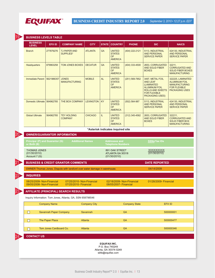

2

**BUSINESS CREDIT INDUSTRY REPORT 2.0** *September 3, 2010 • 12:27 p.m. EDT*

|                                                                            | EFX ID                  | <b>COMPANY NAME</b>                                                       | <b>CITY</b>         | <b>STATE</b> | <b>COUNTRY</b>                                                | <b>PHONE</b>              | <b>SIC</b>                                                                                                                                            | <b>NAICS</b>                                                                                               |
|----------------------------------------------------------------------------|-------------------------|---------------------------------------------------------------------------|---------------------|--------------|---------------------------------------------------------------|---------------------------|-------------------------------------------------------------------------------------------------------------------------------------------------------|------------------------------------------------------------------------------------------------------------|
| <b>Branch</b>                                                              | 277879276               | TJ PAPER AND<br>SUPPLIES*                                                 | <b>ATLANTA</b>      | <b>GA</b>    | <b>UNITED</b><br><b>STATES</b><br><b>OF</b><br><b>AMERICA</b> | (404) 222-2121            | 5113, INDUSTRIAL<br><b>AND PERSONAL</b><br><b>SERVICE PAPER</b>                                                                                       | 424130, INDUSTRIAL<br><b>AND PERSONAL</b><br><b>SERVICE PAPER</b>                                          |
| <b>Headquarters</b>                                                        | 879963258               | <b>TOM JONES BOXES</b>                                                    | <b>DECATUR</b>      | <b>GA</b>    | <b>UNITED</b><br><b>STATES</b><br><b>OF</b><br><b>AMERICA</b> | (404) 333-4500            | 2653, CORRUGATED<br>32211,<br><b>AND SOLID FIBER</b><br><b>CORRUGATED AND</b><br><b>BOXES</b><br><b>SOLID FIBER BOXES</b><br><b>MANUFACTURING</b>     |                                                                                                            |
| <b>Immediate Parent</b>                                                    | 5621986357              | <b>JONES</b><br><b>MANUFACTURING</b>                                      | <b>MOBILE</b>       | <b>AL</b>    | <b>UNITED</b><br><b>STATES</b><br><b>OF</b><br><b>AMERICA</b> | (251) 569-7852            | 3497, METAL FOIL<br><b>AND LEAF</b><br>(LAMINATED<br><b>ALUMINUM FOIL</b><br><b>ROLLS AND SHEETS</b><br><b>FOR FLEXIBLE</b><br><b>PACKAGING USES)</b> | 322225, LAMINATED<br><b>ALUMINUM FOIL</b><br><b>MANUFACTURING</b><br><b>FOR FLEXIBLE</b><br>PACKAGING USES |
| Domestic Ultimate 564962785                                                |                         | THE BOX COMPANY                                                           | <b>LEXINGTON</b>    | KY           | <b>UNITED</b><br><b>STATES</b><br><b>OF</b><br><b>AMERICA</b> | (502) 564-987             | 5113, INDUSTRIAL<br><b>AND PERSONAL</b><br><b>SERVICE PAPER</b>                                                                                       | 424130, INDUSTRIAL<br><b>AND PERSONAL</b><br><b>SERVICE PAPER</b>                                          |
| <b>Global Ultimate</b>                                                     | 564962785               | <b>TEY HOLDING</b><br><b>COMPANY</b>                                      | <b>CHICAGO</b>      | IL           | <b>UNITED</b><br><b>STATES</b><br><b>OF</b><br><b>AMERICA</b> | $(312)$ 345-4562          | 2653, CORRUGATED<br><b>AND SOLID FIBER</b><br><b>BOXES</b>                                                                                            | 322211,<br><b>CORRUGATED AND</b><br><b>SOLID FIBER BOX</b><br><b>MANUFACTURING</b>                         |
|                                                                            |                         |                                                                           |                     |              | *Asterisk indicates inquired site                             |                           |                                                                                                                                                       |                                                                                                            |
|                                                                            |                         | <b>OWNER/GUARANTOR INFORMATION</b>                                        |                     |              |                                                               |                           |                                                                                                                                                       |                                                                                                            |
| <b>Principal (P) and Guarantor (G)</b>                                     |                         | <b>Additional Names</b>                                                   |                     |              | <b>Addresses and</b>                                          |                           | <b>SSNs/Tax IDs</b>                                                                                                                                   |                                                                                                            |
| or Both (B)                                                                |                         |                                                                           |                     |              | <b>Telephone Numbers</b>                                      |                           |                                                                                                                                                       |                                                                                                            |
| <b>THOMAS JONES</b><br>(01/30/2010)<br>Account 7 (G)                       |                         |                                                                           |                     |              | 891 OAK STREET<br>ATLANTA GA 30318<br>(01/30/2010)            |                           | <b>XXXXXXXXX</b><br>(01/30/2010)                                                                                                                      |                                                                                                            |
|                                                                            |                         | <b>BUSINESS &amp; CREDIT GRANTOR COMMENTS</b>                             |                     |              |                                                               |                           | <b>DATE REPORTED</b>                                                                                                                                  |                                                                                                            |
|                                                                            |                         | OWNER Thomas Jones. Dispute with landlord over water damage in warehouse. |                     |              |                                                               |                           | 04/14/2009                                                                                                                                            |                                                                                                            |
|                                                                            |                         |                                                                           |                     |              |                                                               |                           |                                                                                                                                                       |                                                                                                            |
|                                                                            |                         |                                                                           |                     |              |                                                               |                           |                                                                                                                                                       |                                                                                                            |
| <b>INQUIRIES</b><br>08/25/2009- Non-Financial<br>09/05/2008- Non-Financial |                         | 07/25/2010- Non-Financial<br>07/25/2010- Financial                        |                     |              | 08/05/2007- Financial                                         | 02/18/2009- Non-Financial | 01/28/2009- Financial                                                                                                                                 |                                                                                                            |
|                                                                            |                         | <b>AFFILIATE (PRINCIPAL) SEARCH RESULTS</b>                               |                     |              |                                                               |                           |                                                                                                                                                       |                                                                                                            |
|                                                                            |                         | Inquiry Information: Tom Jones, Atlanta, GA, SSN 658798546                |                     |              |                                                               |                           |                                                                                                                                                       |                                                                                                            |
|                                                                            | <b>Company Name</b>     |                                                                           | <b>Company City</b> |              |                                                               | <b>Company State</b>      | EFX ID                                                                                                                                                |                                                                                                            |
| $\Box$                                                                     | Savannah Paper Company  |                                                                           | Savannah            |              |                                                               | <b>GA</b>                 |                                                                                                                                                       | 500000001                                                                                                  |
| $\Box$                                                                     | The Paper Place         |                                                                           | Atlanta             |              |                                                               | <b>GA</b>                 |                                                                                                                                                       | 500000477                                                                                                  |
| $\Box$                                                                     | Tom Jones Cardboard Co. |                                                                           | Atlanta             |              |                                                               | <b>GA</b>                 |                                                                                                                                                       | 500000346                                                                                                  |
|                                                                            |                         |                                                                           |                     |              |                                                               |                           |                                                                                                                                                       |                                                                                                            |
| <b>CONTACT US</b>                                                          |                         |                                                                           |                     |              |                                                               |                           |                                                                                                                                                       |                                                                                                            |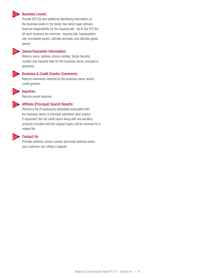#### Business Levels:

Provide EFX IDs and additional identifying information on the business levels in the family tree which have ultimate financial responsibility for the inquired site. Up to five EFX IDs for each business are returned: inquired site, headquarters site, immediate parent, ultimate domestic and ultimate global parent.



19

#### 20 Owner/Guarantor Information:

Returns name, address, phone number, Social Security number and reported date for the business owner, principal or guarantor.



#### Business & Credit Grantor Comments:

Returns comments reported by the business owner and/or credit grantors.



# Inquiries:

Returns recent inquiries.



#### Affiliate (Principal) Search Results:

Returns a list of businesses potentially associated with the business owner or principal submitted upon inquiry; if requested, the full credit report along with any ancillary products included with the original inquiry will be returned for a related file.



#### Contact Us:

Provides address, phone number and email address where your customer can initiate a dispute.